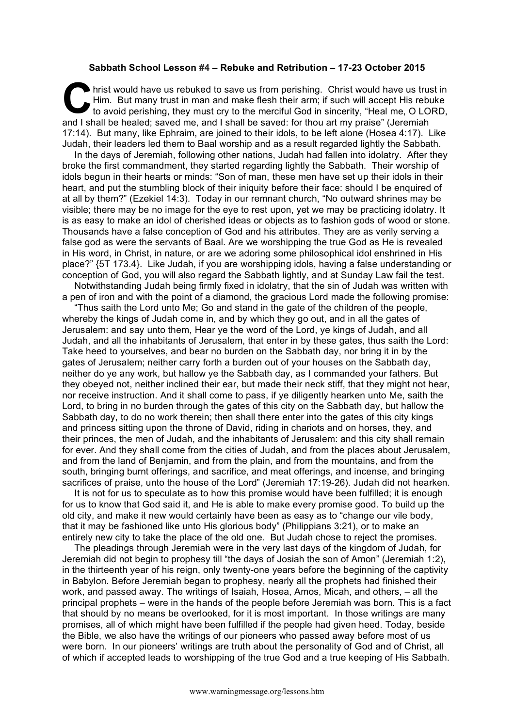## **Sabbath School Lesson #4 – Rebuke and Retribution – 17-23 October 2015**

hrist would have us rebuked to save us from perishing. Christ would have us trust in Him. But many trust in man and make flesh their arm; if such will accept His rebuke to avoid perishing, they must cry to the merciful God in sincerity, "Heal me, O LORD, and I shall be healed; saved me, and I shall be saved: for thou art my praise" (Jeremiah 17:14). But many, like Ephraim, are joined to their idols, to be left alone (Hosea 4:17). Like Judah, their leaders led them to Baal worship and as a result regarded lightly the Sabbath. C **Hir**<br>to and Labell

In the days of Jeremiah, following other nations, Judah had fallen into idolatry. After they broke the first commandment, they started regarding lightly the Sabbath. Their worship of idols begun in their hearts or minds: "Son of man, these men have set up their idols in their heart, and put the stumbling block of their iniquity before their face: should I be enquired of at all by them?" (Ezekiel 14:3). Today in our remnant church, "No outward shrines may be visible; there may be no image for the eye to rest upon, yet we may be practicing idolatry. It is as easy to make an idol of cherished ideas or objects as to fashion gods of wood or stone. Thousands have a false conception of God and his attributes. They are as verily serving a false god as were the servants of Baal. Are we worshipping the true God as He is revealed in His word, in Christ, in nature, or are we adoring some philosophical idol enshrined in His place?" {5T 173.4}. Like Judah, if you are worshipping idols, having a false understanding or conception of God, you will also regard the Sabbath lightly, and at Sunday Law fail the test.

Notwithstanding Judah being firmly fixed in idolatry, that the sin of Judah was written with a pen of iron and with the point of a diamond, the gracious Lord made the following promise:

"Thus saith the Lord unto Me; Go and stand in the gate of the children of the people, whereby the kings of Judah come in, and by which they go out, and in all the gates of Jerusalem: and say unto them, Hear ye the word of the Lord, ye kings of Judah, and all Judah, and all the inhabitants of Jerusalem, that enter in by these gates, thus saith the Lord: Take heed to yourselves, and bear no burden on the Sabbath day, nor bring it in by the gates of Jerusalem; neither carry forth a burden out of your houses on the Sabbath day, neither do ye any work, but hallow ye the Sabbath day, as I commanded your fathers. But they obeyed not, neither inclined their ear, but made their neck stiff, that they might not hear, nor receive instruction. And it shall come to pass, if ye diligently hearken unto Me, saith the Lord, to bring in no burden through the gates of this city on the Sabbath day, but hallow the Sabbath day, to do no work therein; then shall there enter into the gates of this city kings and princess sitting upon the throne of David, riding in chariots and on horses, they, and their princes, the men of Judah, and the inhabitants of Jerusalem: and this city shall remain for ever. And they shall come from the cities of Judah, and from the places about Jerusalem, and from the land of Benjamin, and from the plain, and from the mountains, and from the south, bringing burnt offerings, and sacrifice, and meat offerings, and incense, and bringing sacrifices of praise, unto the house of the Lord" (Jeremiah 17:19-26). Judah did not hearken.

It is not for us to speculate as to how this promise would have been fulfilled; it is enough for us to know that God said it, and He is able to make every promise good. To build up the old city, and make it new would certainly have been as easy as to "change our vile body, that it may be fashioned like unto His glorious body" (Philippians 3:21), or to make an entirely new city to take the place of the old one. But Judah chose to reject the promises.

The pleadings through Jeremiah were in the very last days of the kingdom of Judah, for Jeremiah did not begin to prophesy till "the days of Josiah the son of Amon" (Jeremiah 1:2), in the thirteenth year of his reign, only twenty-one years before the beginning of the captivity in Babylon. Before Jeremiah began to prophesy, nearly all the prophets had finished their work, and passed away. The writings of Isaiah, Hosea, Amos, Micah, and others, – all the principal prophets – were in the hands of the people before Jeremiah was born. This is a fact that should by no means be overlooked, for it is most important. In those writings are many promises, all of which might have been fulfilled if the people had given heed. Today, beside the Bible, we also have the writings of our pioneers who passed away before most of us were born. In our pioneers' writings are truth about the personality of God and of Christ, all of which if accepted leads to worshipping of the true God and a true keeping of His Sabbath.